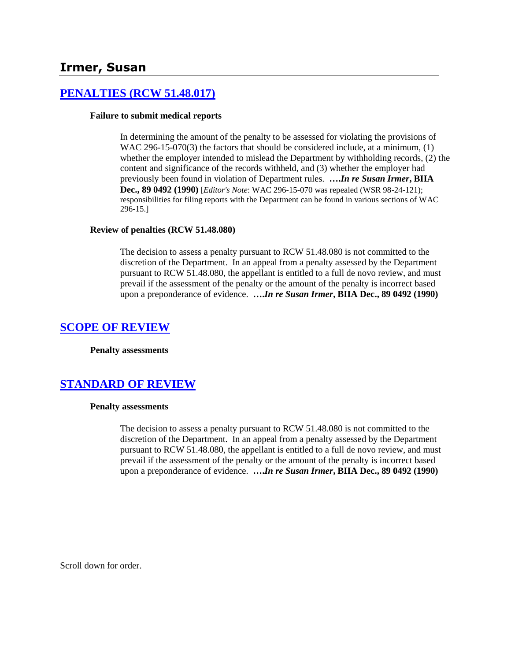# **Irmer, Susan**

## **[PENALTIES \(RCW 51.48.017\)](http://www.biia.wa.gov/SDSubjectIndex.html#PENALTIES)**

#### **Failure to submit medical reports**

In determining the amount of the penalty to be assessed for violating the provisions of WAC 296-15-070(3) the factors that should be considered include, at a minimum, (1) whether the employer intended to mislead the Department by withholding records, (2) the content and significance of the records withheld, and (3) whether the employer had previously been found in violation of Department rules. **….***In re Susan Irmer***, BIIA Dec., 89 0492 (1990)** [*Editor's Note*: WAC 296-15-070 was repealed (WSR 98-24-121); responsibilities for filing reports with the Department can be found in various sections of WAC 296-15.]

#### **Review of penalties (RCW 51.48.080)**

The decision to assess a penalty pursuant to RCW 51.48.080 is not committed to the discretion of the Department. In an appeal from a penalty assessed by the Department pursuant to RCW 51.48.080, the appellant is entitled to a full de novo review, and must prevail if the assessment of the penalty or the amount of the penalty is incorrect based upon a preponderance of evidence. **….***In re Susan Irmer***, BIIA Dec., 89 0492 (1990)** 

#### **[SCOPE OF REVIEW](http://www.biia.wa.gov/SDSubjectIndex.html#SCOPE_OF_REVIEW)**

**Penalty assessments**

## **[STANDARD OF REVIEW](http://www.biia.wa.gov/SDSubjectIndex.html#STANDARD_OF_REVIEW)**

#### **Penalty assessments**

The decision to assess a penalty pursuant to RCW 51.48.080 is not committed to the discretion of the Department. In an appeal from a penalty assessed by the Department pursuant to RCW 51.48.080, the appellant is entitled to a full de novo review, and must prevail if the assessment of the penalty or the amount of the penalty is incorrect based upon a preponderance of evidence. **….***In re Susan Irmer***, BIIA Dec., 89 0492 (1990)** 

Scroll down for order.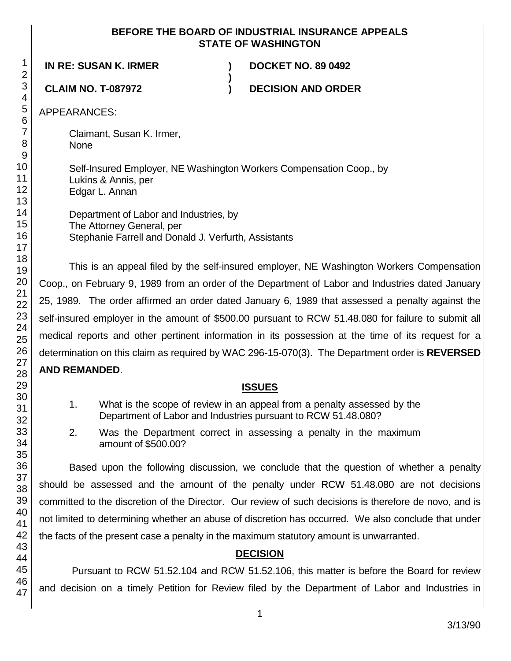## **BEFORE THE BOARD OF INDUSTRIAL INSURANCE APPEALS STATE OF WASHINGTON**

**IN RE: SUSAN K. IRMER ) DOCKET NO. 89 0492**

**CLAIM NO. T-087972 ) DECISION AND ORDER**

APPEARANCES:

Claimant, Susan K. Irmer, None

Self-Insured Employer, NE Washington Workers Compensation Coop., by Lukins & Annis, per Edgar L. Annan

**)**

Department of Labor and Industries, by The Attorney General, per Stephanie Farrell and Donald J. Verfurth, Assistants

This is an appeal filed by the self-insured employer, NE Washington Workers Compensation Coop., on February 9, 1989 from an order of the Department of Labor and Industries dated January 25, 1989. The order affirmed an order dated January 6, 1989 that assessed a penalty against the self-insured employer in the amount of \$500.00 pursuant to RCW 51.48.080 for failure to submit all medical reports and other pertinent information in its possession at the time of its request for a determination on this claim as required by WAC 296-15-070(3). The Department order is **REVERSED** 

# **AND REMANDED**.

# **ISSUES**

- 1. What is the scope of review in an appeal from a penalty assessed by the Department of Labor and Industries pursuant to RCW 51.48.080?
- 2. Was the Department correct in assessing a penalty in the maximum amount of \$500.00?

Based upon the following discussion, we conclude that the question of whether a penalty should be assessed and the amount of the penalty under RCW 51.48.080 are not decisions committed to the discretion of the Director. Our review of such decisions is therefore de novo, and is not limited to determining whether an abuse of discretion has occurred. We also conclude that under the facts of the present case a penalty in the maximum statutory amount is unwarranted.

# **DECISION**

Pursuant to RCW 51.52.104 and RCW 51.52.106, this matter is before the Board for review and decision on a timely Petition for Review filed by the Department of Labor and Industries in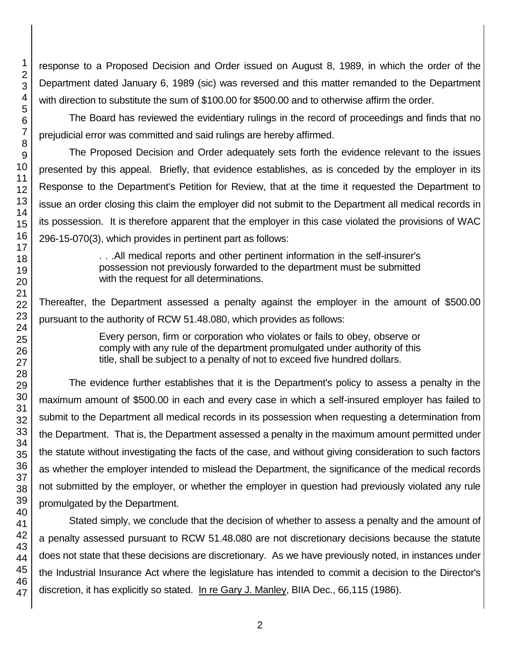response to a Proposed Decision and Order issued on August 8, 1989, in which the order of the Department dated January 6, 1989 (sic) was reversed and this matter remanded to the Department with direction to substitute the sum of \$100.00 for \$500.00 and to otherwise affirm the order.

The Board has reviewed the evidentiary rulings in the record of proceedings and finds that no prejudicial error was committed and said rulings are hereby affirmed.

The Proposed Decision and Order adequately sets forth the evidence relevant to the issues presented by this appeal. Briefly, that evidence establishes, as is conceded by the employer in its Response to the Department's Petition for Review, that at the time it requested the Department to issue an order closing this claim the employer did not submit to the Department all medical records in its possession. It is therefore apparent that the employer in this case violated the provisions of WAC 296-15-070(3), which provides in pertinent part as follows:

> . . .All medical reports and other pertinent information in the self-insurer's possession not previously forwarded to the department must be submitted with the request for all determinations.

Thereafter, the Department assessed a penalty against the employer in the amount of \$500.00 pursuant to the authority of RCW 51.48.080, which provides as follows:

> Every person, firm or corporation who violates or fails to obey, observe or comply with any rule of the department promulgated under authority of this title, shall be subject to a penalty of not to exceed five hundred dollars.

The evidence further establishes that it is the Department's policy to assess a penalty in the maximum amount of \$500.00 in each and every case in which a self-insured employer has failed to submit to the Department all medical records in its possession when requesting a determination from the Department. That is, the Department assessed a penalty in the maximum amount permitted under the statute without investigating the facts of the case, and without giving consideration to such factors as whether the employer intended to mislead the Department, the significance of the medical records not submitted by the employer, or whether the employer in question had previously violated any rule promulgated by the Department.

Stated simply, we conclude that the decision of whether to assess a penalty and the amount of a penalty assessed pursuant to RCW 51.48.080 are not discretionary decisions because the statute does not state that these decisions are discretionary. As we have previously noted, in instances under the Industrial Insurance Act where the legislature has intended to commit a decision to the Director's discretion, it has explicitly so stated. In re Gary J. Manley, BIIA Dec., 66,115 (1986).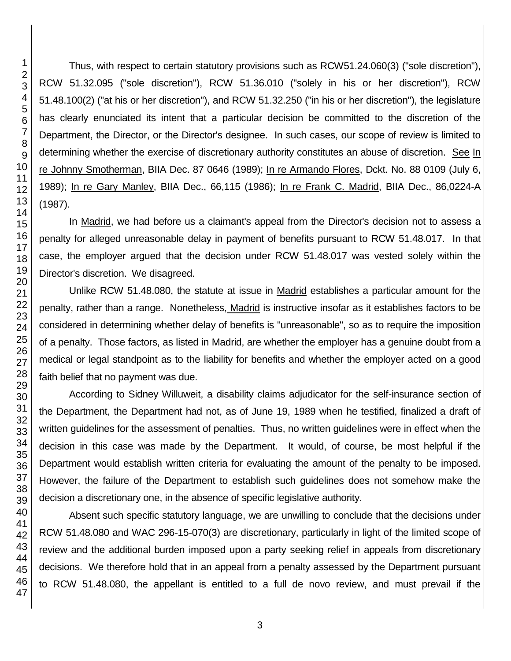Thus, with respect to certain statutory provisions such as RCW51.24.060(3) ("sole discretion"), RCW 51.32.095 ("sole discretion"), RCW 51.36.010 ("solely in his or her discretion"), RCW 51.48.100(2) ("at his or her discretion"), and RCW 51.32.250 ("in his or her discretion"), the legislature has clearly enunciated its intent that a particular decision be committed to the discretion of the Department, the Director, or the Director's designee. In such cases, our scope of review is limited to determining whether the exercise of discretionary authority constitutes an abuse of discretion. See In re Johnny Smotherman, BIIA Dec. 87 0646 (1989); In re Armando Flores, Dckt. No. 88 0109 (July 6, 1989); In re Gary Manley, BIIA Dec., 66,115 (1986); In re Frank C. Madrid, BIIA Dec., 86,0224-A (1987).

In Madrid, we had before us a claimant's appeal from the Director's decision not to assess a penalty for alleged unreasonable delay in payment of benefits pursuant to RCW 51.48.017. In that case, the employer argued that the decision under RCW 51.48.017 was vested solely within the Director's discretion. We disagreed.

Unlike RCW 51.48.080, the statute at issue in Madrid establishes a particular amount for the penalty, rather than a range. Nonetheless, Madrid is instructive insofar as it establishes factors to be considered in determining whether delay of benefits is "unreasonable", so as to require the imposition of a penalty. Those factors, as listed in Madrid, are whether the employer has a genuine doubt from a medical or legal standpoint as to the liability for benefits and whether the employer acted on a good faith belief that no payment was due.

According to Sidney Willuweit, a disability claims adjudicator for the self-insurance section of the Department, the Department had not, as of June 19, 1989 when he testified, finalized a draft of written guidelines for the assessment of penalties. Thus, no written guidelines were in effect when the decision in this case was made by the Department. It would, of course, be most helpful if the Department would establish written criteria for evaluating the amount of the penalty to be imposed. However, the failure of the Department to establish such guidelines does not somehow make the decision a discretionary one, in the absence of specific legislative authority.

Absent such specific statutory language, we are unwilling to conclude that the decisions under RCW 51.48.080 and WAC 296-15-070(3) are discretionary, particularly in light of the limited scope of review and the additional burden imposed upon a party seeking relief in appeals from discretionary decisions. We therefore hold that in an appeal from a penalty assessed by the Department pursuant to RCW 51.48.080, the appellant is entitled to a full de novo review, and must prevail if the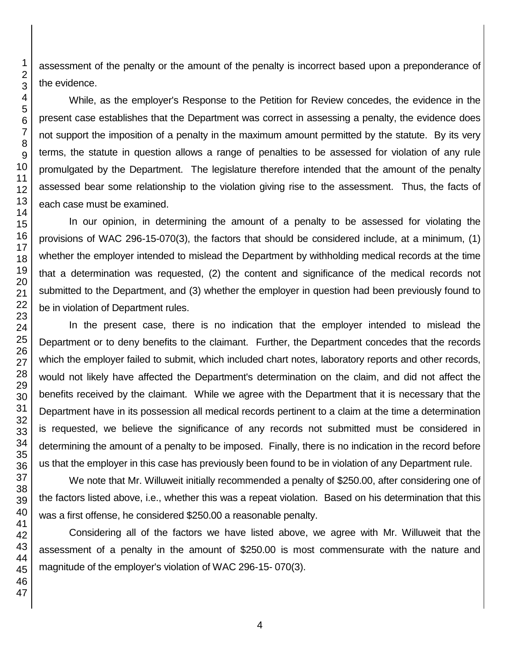assessment of the penalty or the amount of the penalty is incorrect based upon a preponderance of the evidence.

While, as the employer's Response to the Petition for Review concedes, the evidence in the present case establishes that the Department was correct in assessing a penalty, the evidence does not support the imposition of a penalty in the maximum amount permitted by the statute. By its very terms, the statute in question allows a range of penalties to be assessed for violation of any rule promulgated by the Department. The legislature therefore intended that the amount of the penalty assessed bear some relationship to the violation giving rise to the assessment. Thus, the facts of each case must be examined.

In our opinion, in determining the amount of a penalty to be assessed for violating the provisions of WAC 296-15-070(3), the factors that should be considered include, at a minimum, (1) whether the employer intended to mislead the Department by withholding medical records at the time that a determination was requested, (2) the content and significance of the medical records not submitted to the Department, and (3) whether the employer in question had been previously found to be in violation of Department rules.

In the present case, there is no indication that the employer intended to mislead the Department or to deny benefits to the claimant. Further, the Department concedes that the records which the employer failed to submit, which included chart notes, laboratory reports and other records, would not likely have affected the Department's determination on the claim, and did not affect the benefits received by the claimant. While we agree with the Department that it is necessary that the Department have in its possession all medical records pertinent to a claim at the time a determination is requested, we believe the significance of any records not submitted must be considered in determining the amount of a penalty to be imposed. Finally, there is no indication in the record before us that the employer in this case has previously been found to be in violation of any Department rule.

We note that Mr. Willuweit initially recommended a penalty of \$250.00, after considering one of the factors listed above, i.e., whether this was a repeat violation. Based on his determination that this was a first offense, he considered \$250.00 a reasonable penalty.

Considering all of the factors we have listed above, we agree with Mr. Willuweit that the assessment of a penalty in the amount of \$250.00 is most commensurate with the nature and magnitude of the employer's violation of WAC 296-15- 070(3).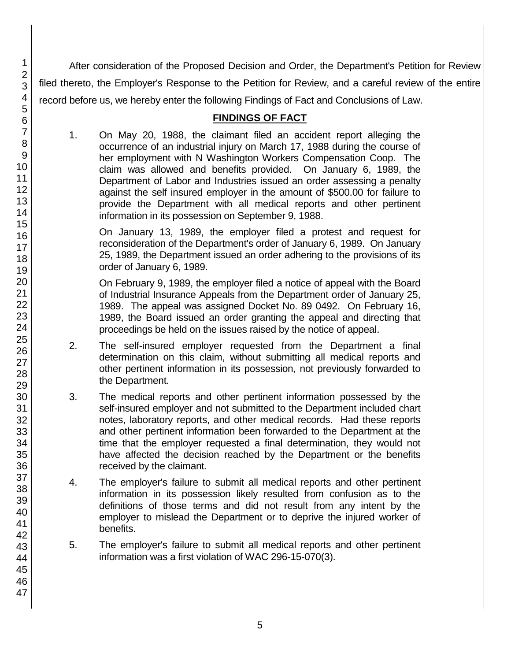After consideration of the Proposed Decision and Order, the Department's Petition for Review filed thereto, the Employer's Response to the Petition for Review, and a careful review of the entire record before us, we hereby enter the following Findings of Fact and Conclusions of Law.

# **FINDINGS OF FACT**

1. On May 20, 1988, the claimant filed an accident report alleging the occurrence of an industrial injury on March 17, 1988 during the course of her employment with N Washington Workers Compensation Coop. The claim was allowed and benefits provided. On January 6, 1989, the Department of Labor and Industries issued an order assessing a penalty against the self insured employer in the amount of \$500.00 for failure to provide the Department with all medical reports and other pertinent information in its possession on September 9, 1988.

On January 13, 1989, the employer filed a protest and request for reconsideration of the Department's order of January 6, 1989. On January 25, 1989, the Department issued an order adhering to the provisions of its order of January 6, 1989.

On February 9, 1989, the employer filed a notice of appeal with the Board of Industrial Insurance Appeals from the Department order of January 25, 1989. The appeal was assigned Docket No. 89 0492. On February 16, 1989, the Board issued an order granting the appeal and directing that proceedings be held on the issues raised by the notice of appeal.

- 2. The self-insured employer requested from the Department a final determination on this claim, without submitting all medical reports and other pertinent information in its possession, not previously forwarded to the Department.
- 3. The medical reports and other pertinent information possessed by the self-insured employer and not submitted to the Department included chart notes, laboratory reports, and other medical records. Had these reports and other pertinent information been forwarded to the Department at the time that the employer requested a final determination, they would not have affected the decision reached by the Department or the benefits received by the claimant.
- 4. The employer's failure to submit all medical reports and other pertinent information in its possession likely resulted from confusion as to the definitions of those terms and did not result from any intent by the employer to mislead the Department or to deprive the injured worker of benefits.
- 5. The employer's failure to submit all medical reports and other pertinent information was a first violation of WAC 296-15-070(3).